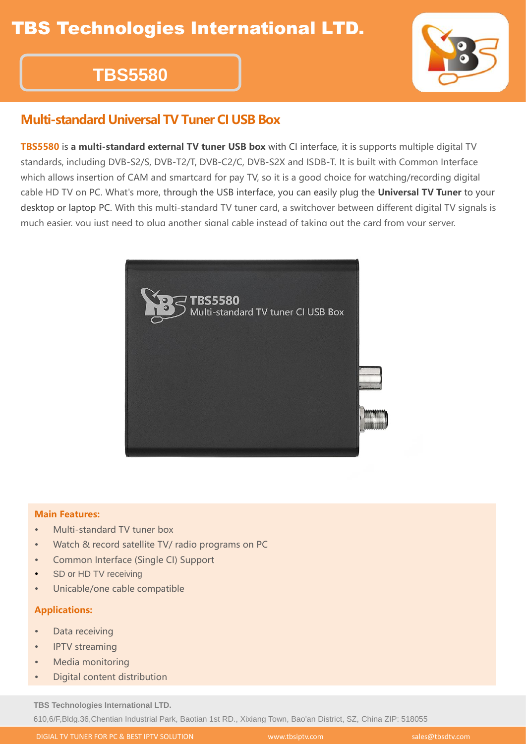# **TBS5580**

### **Multi-standard Universal TV Tuner CI USB Box**

**TBS5580** is **a multi-standard external TV tuner USB box** with CI interface, it is supports multiple digital TV standards, including DVB-S2/S, DVB-T2/T, DVB-C2/C, DVB-S2X and ISDB-T. It is built with Common Interface which allows insertion of CAM and smartcard for pay TV, so it is a good choice for watching/recording digital cable HD TV on PC. What's more, through the USB interface, you can easily plug the **Universal TV Tuner** to your desktop or laptop PC. With this multi-standard TV tuner card, a switchover between different digital TV signals is much easier, you just need to plug another signal cable instead of taking out the card from your server.



#### **Main Features:**

- Multi-standard TV tuner box
- Watch & record satellite TV/ radio programs on PC
- Common Interface (Single CI) Support
- SD or HD TV receiving
- Unicable/one cable compatible

#### **Applications:**

- Data receiving
- IPTV streaming
- Media monitoring
- Digital content distribution

**TBS Technologies International LTD.**

610,6/F,Bldg.36,Chentian Industrial Park, Baotian 1st RD., Xixiang Town, Bao'an District, SZ, China ZIP: 518055

DIGIAL TV TUNER FOR PC & BEST IPTV SOLUTION WWW.tbsiptv.com sales@tbsdtv.com sales@tbsdtv.com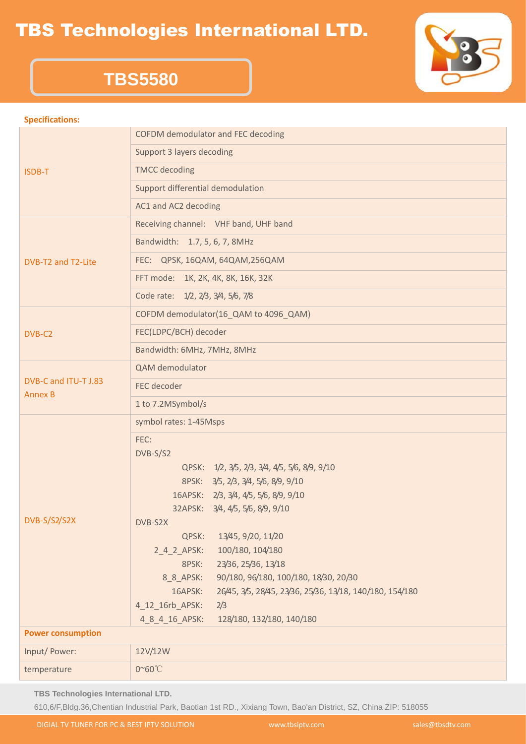### TBS Technologies International LTD.



## **TBS5580**

#### **Specifications:**

| ISDB-T                                 | COFDM demodulator and FEC decoding                                  |  |
|----------------------------------------|---------------------------------------------------------------------|--|
|                                        | Support 3 layers decoding                                           |  |
|                                        | <b>TMCC</b> decoding                                                |  |
|                                        | Support differential demodulation                                   |  |
|                                        | AC1 and AC2 decoding                                                |  |
| DVB-T2 and T2-Lite                     | Receiving channel: VHF band, UHF band                               |  |
|                                        | Bandwidth: 1.7, 5, 6, 7, 8MHz                                       |  |
|                                        | FEC: QPSK, 16QAM, 64QAM, 256QAM                                     |  |
|                                        | FFT mode: 1K, 2K, 4K, 8K, 16K, 32K                                  |  |
|                                        | Code rate: 1/2, 2/3, 3/4, 5/6, 7/8                                  |  |
| DVB-C2                                 | COFDM demodulator(16_QAM to 4096_QAM)                               |  |
|                                        | FEC(LDPC/BCH) decoder                                               |  |
|                                        | Bandwidth: 6MHz, 7MHz, 8MHz                                         |  |
| DVB-C and ITU-T J.83<br><b>Annex B</b> | QAM demodulator                                                     |  |
|                                        | FEC decoder                                                         |  |
|                                        | 1 to 7.2MSymbol/s                                                   |  |
| DVB-S/S2/S2X                           | symbol rates: 1-45Msps                                              |  |
|                                        | FEC:                                                                |  |
|                                        | DVB-S/S2                                                            |  |
|                                        | QPSK: 1/2, 3/5, 2/3, 3/4, 4/5, 5/6, 8/9, 9/10                       |  |
|                                        | 8PSK: 3/5, 2/3, 3/4, 5/6, 8/9, 9/10                                 |  |
|                                        | 16APSK: 2/3, 3/4, 4/5, 5/6, 8/9, 9/10                               |  |
|                                        | 32APSK: 3/4, 4/5, 5/6, 8/9, 9/10                                    |  |
|                                        | DVB-S2X                                                             |  |
|                                        | QPSK:<br>13/45, 9/20, 11/20                                         |  |
|                                        | 100/180, 104/180<br>$2_4_2_$ APSK:                                  |  |
|                                        | 23/36, 25/36, 13/18<br>8PSK:                                        |  |
|                                        | 90/180, 96/180, 100/180, 18/30, 20/30<br>8_8_APSK:                  |  |
|                                        | 16APSK:<br>26/45, 3/5, 28/45, 23/36, 25/36, 13/18, 140/180, 154/180 |  |
|                                        | 4_12_16rb_APSK:<br>2/3                                              |  |
|                                        | 128/180, 132/180, 140/180<br>4 8 4 16 APSK:                         |  |
| <b>Power consumption</b>               |                                                                     |  |
| Input/ Power:                          | 12V/12W                                                             |  |
| temperature                            | 0~60°C                                                              |  |

**TBS Technologies International LTD.**

610,6/F,Bldg.36,Chentian Industrial Park, Baotian 1st RD., Xixiang Town, Bao'an District, SZ, China ZIP: 518055